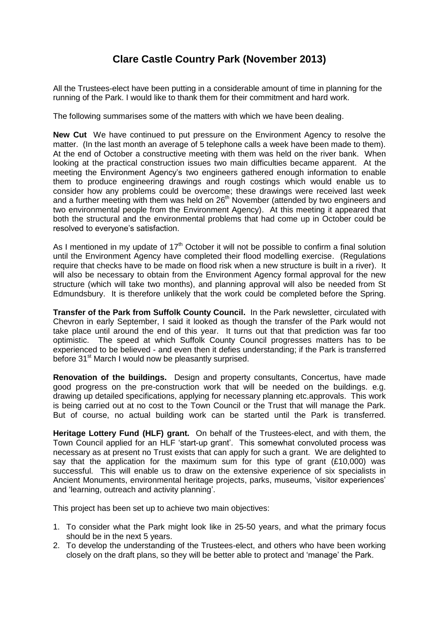## **Clare Castle Country Park (November 2013)**

All the Trustees-elect have been putting in a considerable amount of time in planning for the running of the Park. I would like to thank them for their commitment and hard work.

The following summarises some of the matters with which we have been dealing.

**New Cut** We have continued to put pressure on the Environment Agency to resolve the matter. (In the last month an average of 5 telephone calls a week have been made to them). At the end of October a constructive meeting with them was held on the river bank. When looking at the practical construction issues two main difficulties became apparent. At the meeting the Environment Agency's two engineers gathered enough information to enable them to produce engineering drawings and rough costings which would enable us to consider how any problems could be overcome; these drawings were received last week and a further meeting with them was held on 26<sup>th</sup> November (attended by two engineers and two environmental people from the Environment Agency). At this meeting it appeared that both the structural and the environmental problems that had come up in October could be resolved to everyone's satisfaction.

As I mentioned in my update of  $17<sup>th</sup>$  October it will not be possible to confirm a final solution until the Environment Agency have completed their flood modelling exercise. (Regulations require that checks have to be made on flood risk when a new structure is built in a river). It will also be necessary to obtain from the Environment Agency formal approval for the new structure (which will take two months), and planning approval will also be needed from St Edmundsbury. It is therefore unlikely that the work could be completed before the Spring.

**Transfer of the Park from Suffolk County Council.** In the Park newsletter, circulated with Chevron in early September, I said it looked as though the transfer of the Park would not take place until around the end of this year. It turns out that that prediction was far too optimistic. The speed at which Suffolk County Council progresses matters has to be experienced to be believed - and even then it defies understanding; if the Park is transferred before 31<sup>st</sup> March I would now be pleasantly surprised.

**Renovation of the buildings.** Design and property consultants, Concertus, have made good progress on the pre-construction work that will be needed on the buildings. e.g. drawing up detailed specifications, applying for necessary planning etc.approvals. This work is being carried out at no cost to the Town Council or the Trust that will manage the Park. But of course, no actual building work can be started until the Park is transferred.

**Heritage Lottery Fund (HLF) grant.** On behalf of the Trustees-elect, and with them, the Town Council applied for an HLF 'start-up grant'. This somewhat convoluted process was necessary as at present no Trust exists that can apply for such a grant. We are delighted to say that the application for the maximum sum for this type of grant  $(E10,000)$  was successful. This will enable us to draw on the extensive experience of six specialists in Ancient Monuments, environmental heritage projects, parks, museums, 'visitor experiences' and 'learning, outreach and activity planning'.

This project has been set up to achieve two main objectives:

- 1. To consider what the Park might look like in 25-50 years, and what the primary focus should be in the next 5 years.
- 2. To develop the understanding of the Trustees-elect, and others who have been working closely on the draft plans, so they will be better able to protect and 'manage' the Park.